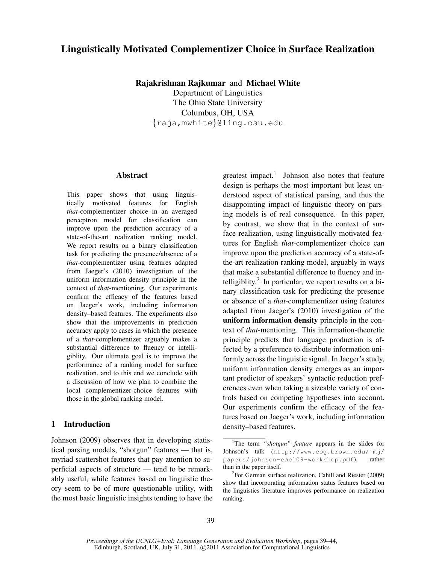# Linguistically Motivated Complementizer Choice in Surface Realization

Rajakrishnan Rajkumar and Michael White Department of Linguistics The Ohio State University Columbus, OH, USA {raja,mwhite}@ling.osu.edu

## Abstract

This paper shows that using linguistically motivated features for English *that*-complementizer choice in an averaged perceptron model for classification can improve upon the prediction accuracy of a state-of-the-art realization ranking model. We report results on a binary classification task for predicting the presence/absence of a *that-*complementizer using features adapted from Jaeger's (2010) investigation of the uniform information density principle in the context of *that*-mentioning. Our experiments confirm the efficacy of the features based on Jaeger's work, including information density–based features. The experiments also show that the improvements in prediction accuracy apply to cases in which the presence of a *that*-complementizer arguably makes a substantial difference to fluency or intelligiblity. Our ultimate goal is to improve the performance of a ranking model for surface realization, and to this end we conclude with a discussion of how we plan to combine the local complementizer-choice features with those in the global ranking model.

# 1 Introduction

Johnson (2009) observes that in developing statistical parsing models, "shotgun" features — that is, myriad scattershot features that pay attention to superficial aspects of structure — tend to be remarkably useful, while features based on linguistic theory seem to be of more questionable utility, with the most basic linguistic insights tending to have the

greatest impact.<sup>1</sup> Johnson also notes that feature design is perhaps the most important but least understood aspect of statistical parsing, and thus the disappointing impact of linguistic theory on parsing models is of real consequence. In this paper, by contrast, we show that in the context of surface realization, using linguistically motivated features for English *that*-complementizer choice can improve upon the prediction accuracy of a state-ofthe-art realization ranking model, arguably in ways that make a substantial difference to fluency and intelligiblity. $2$  In particular, we report results on a binary classification task for predicting the presence or absence of a *that-*complementizer using features adapted from Jaeger's (2010) investigation of the uniform information density principle in the context of *that*-mentioning. This information-theoretic principle predicts that language production is affected by a preference to distribute information uniformly across the linguistic signal. In Jaeger's study, uniform information density emerges as an important predictor of speakers' syntactic reduction preferences even when taking a sizeable variety of controls based on competing hypotheses into account. Our experiments confirm the efficacy of the features based on Jaeger's work, including information density–based features.

<sup>&</sup>lt;sup>1</sup>The term *"shotgun" feature* appears in the slides for Johnson's talk (http://www.cog.brown.edu/˜mj/ papers/johnson-eacl09-workshop.pdf), rather than in the paper itself.

<sup>&</sup>lt;sup>2</sup> For German surface realization, Cahill and Riester (2009) show that incorporating information status features based on the linguistics literature improves performance on realization ranking.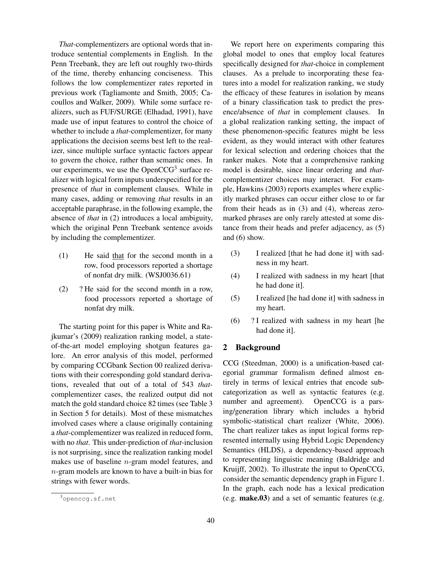*That*-complementizers are optional words that introduce sentential complements in English. In the Penn Treebank, they are left out roughly two-thirds of the time, thereby enhancing conciseness. This follows the low complementizer rates reported in previous work (Tagliamonte and Smith, 2005; Cacoullos and Walker, 2009). While some surface realizers, such as FUF/SURGE (Elhadad, 1991), have made use of input features to control the choice of whether to include a *that*-complementizer, for many applications the decision seems best left to the realizer, since multiple surface syntactic factors appear to govern the choice, rather than semantic ones. In our experiments, we use the OpenCCG<sup>3</sup> surface realizer with logical form inputs underspecified for the presence of *that* in complement clauses. While in many cases, adding or removing *that* results in an acceptable paraphrase, in the following example, the absence of *that* in (2) introduces a local ambiguity, which the original Penn Treebank sentence avoids by including the complementizer.

- (1) He said that for the second month in a row, food processors reported a shortage of nonfat dry milk. (WSJ0036.61)
- (2) ? He said for the second month in a row, food processors reported a shortage of nonfat dry milk.

The starting point for this paper is White and Rajkumar's (2009) realization ranking model, a stateof-the-art model employing shotgun features galore. An error analysis of this model, performed by comparing CCGbank Section 00 realized derivations with their corresponding gold standard derivations, revealed that out of a total of 543 *that*complementizer cases, the realized output did not match the gold standard choice 82 times (see Table 3 in Section 5 for details). Most of these mismatches involved cases where a clause originally containing a *that*-complementizer was realized in reduced form, with no *that*. This under-prediction of *that*-inclusion is not surprising, since the realization ranking model makes use of baseline n-gram model features, and n-gram models are known to have a built-in bias for strings with fewer words.

We report here on experiments comparing this global model to ones that employ local features specifically designed for *that*-choice in complement clauses. As a prelude to incorporating these features into a model for realization ranking, we study the efficacy of these features in isolation by means of a binary classification task to predict the presence/absence of *that* in complement clauses. In a global realization ranking setting, the impact of these phenomenon-specific features might be less evident, as they would interact with other features for lexical selection and ordering choices that the ranker makes. Note that a comprehensive ranking model is desirable, since linear ordering and *that*complementizer choices may interact. For example, Hawkins (2003) reports examples where explicitly marked phrases can occur either close to or far from their heads as in (3) and (4), whereas zeromarked phrases are only rarely attested at some distance from their heads and prefer adjacency, as (5) and (6) show.

- (3) I realized [that he had done it] with sadness in my heart.
- (4) I realized with sadness in my heart [that he had done it].
- (5) I realized [he had done it] with sadness in my heart.
- (6) ? I realized with sadness in my heart [he had done it].

#### 2 Background

CCG (Steedman, 2000) is a unification-based categorial grammar formalism defined almost entirely in terms of lexical entries that encode subcategorization as well as syntactic features (e.g. number and agreement). OpenCCG is a parsing/generation library which includes a hybrid symbolic-statistical chart realizer (White, 2006). The chart realizer takes as input logical forms represented internally using Hybrid Logic Dependency Semantics (HLDS), a dependency-based approach to representing linguistic meaning (Baldridge and Kruijff, 2002). To illustrate the input to OpenCCG, consider the semantic dependency graph in Figure 1. In the graph, each node has a lexical predication (e.g. make.03) and a set of semantic features (e.g.

<sup>3</sup>openccg.sf.net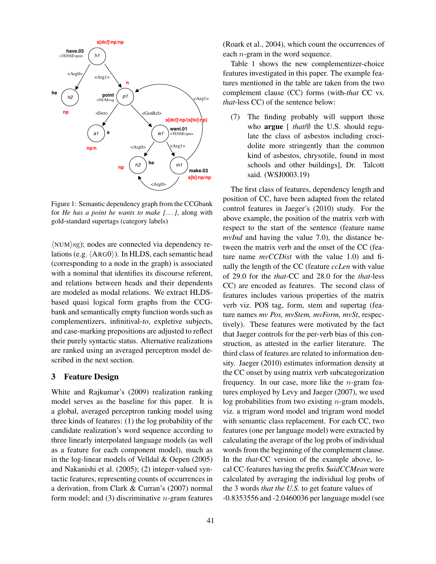

Figure 1: Semantic dependency graph from the CCGbank for *He has a point he wants to make [. . . ]*, along with gold-standard supertags (category labels)

 $\langle NUM \rangle$ sg); nodes are connected via dependency relations (e.g.  $\langle \text{ARG0} \rangle$ ). In HLDS, each semantic head (corresponding to a node in the graph) is associated with a nominal that identifies its discourse referent, and relations between heads and their dependents are modeled as modal relations. We extract HLDSbased quasi logical form graphs from the CCGbank and semantically empty function words such as complementizers, infinitival-*to*, expletive subjects, and case-marking prepositions are adjusted to reflect their purely syntactic status. Alternative realizations are ranked using an averaged perceptron model described in the next section.

### 3 Feature Design

White and Rajkumar's (2009) realization ranking model serves as the baseline for this paper. It is a global, averaged perceptron ranking model using three kinds of features: (1) the log probability of the candidate realization's word sequence according to three linearly interpolated language models (as well as a feature for each component model), much as in the log-linear models of Velldal & Oepen (2005) and Nakanishi et al. (2005); (2) integer-valued syntactic features, representing counts of occurrences in a derivation, from Clark & Curran's (2007) normal form model; and  $(3)$  discriminative *n*-gram features

(Roark et al., 2004), which count the occurrences of each n-gram in the word sequence.

Table 1 shows the new complementizer-choice features investigated in this paper. The example features mentioned in the table are taken from the two complement clause (CC) forms (with-*that* CC vs. *that*-less CC) of the sentence below:

(7) The finding probably will support those who argue [ *that*/∅ the U.S. should regulate the class of asbestos including crocidolite more stringently than the common kind of asbestos, chrysotile, found in most schools and other buildings], Dr. Talcott said. (WSJ0003.19)

The first class of features, dependency length and position of CC, have been adapted from the related control features in Jaeger's (2010) study. For the above example, the position of the matrix verb with respect to the start of the sentence (feature name *mvInd* and having the value 7.0), the distance between the matrix verb and the onset of the CC (feature name *mvCCDist* with the value 1.0) and finally the length of the CC (feature *ccLen* with value of 29.0 for the *that*-CC and 28.0 for the *that*-less CC) are encoded as features. The second class of features includes various properties of the matrix verb viz. POS tag, form, stem and supertag (feature names *mv Pos, mvStem, mvForm, mvSt*, respectively). These features were motivated by the fact that Jaeger controls for the per-verb bias of this construction, as attested in the earlier literature. The third class of features are related to information density. Jaeger (2010) estimates information density at the CC onset by using matrix verb subcategorization frequency. In our case, more like the  $n$ -gram features employed by Levy and Jaeger (2007), we used log probabilities from two existing  $n$ -gram models, viz. a trigram word model and trigram word model with semantic class replacement. For each CC, two features (one per language model) were extracted by calculating the average of the log probs of individual words from the beginning of the complement clause. In the *that*-CC version of the example above, local CC-features having the prefix \$*uidCCMean* were calculated by averaging the individual log probs of the 3 words *that the U.S.* to get feature values of -0.8353556 and -2.0460036 per language model (see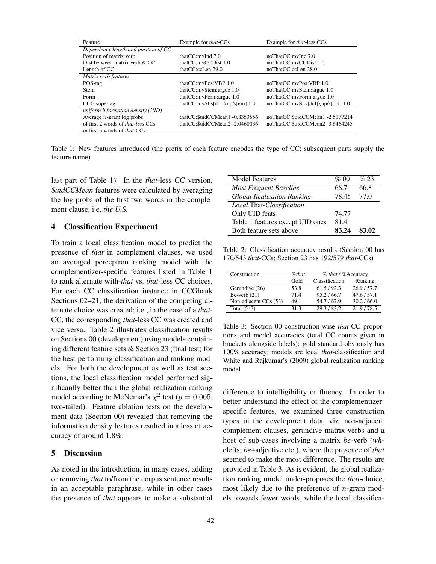| Feature                                  | Example for <i>that</i> -CCs         | Example for <i>that</i> -less CCs  |
|------------------------------------------|--------------------------------------|------------------------------------|
| Dependency length and position of CC     |                                      |                                    |
| Position of matrix verb                  | that $CC$ : myInd $7.0$              | noThatCC: myInd 7.0                |
| Dist between matrix verb & CC            | thatCC:mvCCDist 1.0                  | noThatCC:myCCDist 1.0              |
| Length of CC                             | thatCC:ccLen 29.0                    | noThatCC:ccLen 28.0                |
| Matrix verb features                     |                                      |                                    |
| POS-tag                                  | thatCC:mvPos:VBP 1.0                 | noThatCC:myPos:VBP 1.0             |
| <b>Stem</b>                              | that $CC$ : mvStem: argue $1.0$      | noThatCC:mvStem:argue 1.0          |
| Form                                     | thatCC:mvForm:argue 1.0              | noThatCC:mvForm:argue 1.0          |
| CCG supertag                             | that $CC:mvSt: s[dcl] \np/s[em] 1.0$ | noThatCC:mvSt:s[dcl]\np/s[dcl] 1.0 |
| uniform information density (UID)        |                                      |                                    |
| Average $n$ -gram $log$ probs            | thatCC: SuidCCMean1 -0.8353556       | noThatCC:SuidCCMean1-2.5177214     |
| of first 2 words of <i>that-less</i> CCs | thatCC:SuidCCMean2 -2.0460036        | noThatCC:SuidCCMean2 -3.6464245    |
| or first 3 words of <i>that</i> -CCs     |                                      |                                    |

Table 1: New features introduced (the prefix of each feature encodes the type of CC; subsequent parts supply the feature name)

last part of Table 1). In the *that*-less CC version, \$*uidCCMean* features were calculated by averaging the log probs of the first two words in the complement clause, i.e. *the U.S.*

## 4 Classification Experiment

To train a local classification model to predict the presence of *that* in complement clauses, we used an averaged perceptron ranking model with the complementizer-specific features listed in Table 1 to rank alternate with-*that* vs. *that*-less CC choices. For each CC classification instance in CCGbank Sections 02–21, the derivation of the competing alternate choice was created; i.e., in the case of a *that*-CC, the corresponding *that*-less CC was created and vice versa. Table 2 illustrates classification results on Sections 00 (development) using models containing different feature sets & Section 23 (final test) for the best-performing classification and ranking models. For both the development as well as test sections, the local classification model performed significantly better than the global realization ranking model according to McNemar's  $\chi^2$  test ( $p = 0.005$ , two-tailed). Feature ablation tests on the development data (Section 00) revealed that removing the information density features resulted in a loss of accuracy of around 1.8%.

#### 5 Discussion

As noted in the introduction, in many cases, adding or removing *that* to/from the corpus sentence results in an acceptable paraphrase, while in other cases the presence of *that* appears to make a substantial

| <b>Model Features</b>             | % 00  | $\%$ 23 |
|-----------------------------------|-------|---------|
| <b>Most Frequent Baseline</b>     | 68.7  | 66.8    |
| <b>Global Realization Ranking</b> | 78.45 | 77.0    |
| Local That-Classification         |       |         |
| Only UID feats                    | 74.77 |         |
| Table 1 features except UID ones  | 81.4  |         |
| Both feature sets above           | 83.24 | 83.02   |

Table 2: Classification accuracy results (Section 00 has 170/543 *that*-CCs; Section 23 has 192/579 *that*-CCs)

| Construction          | %that | % that / %Accuracy |           |
|-----------------------|-------|--------------------|-----------|
|                       | Gold  | Classification     | Ranking   |
| Gerundive (26)        | 53.8  | 61.5/92.3          | 26.9/57.7 |
| Be-verb $(21)$        | 71.4  | 95.2/66.7          | 47.6/57.1 |
| Non-adjacent CCs (53) | 49.1  | 54.7/67.9          | 30.2/66.0 |
| Total (543)           | 31.3  | 29.3/83.2          | 21.9/78.5 |

Table 3: Section 00 construction-wise *that*-CC proportions and model accuracies (total CC counts given in brackets alongside labels); gold standard obviously has 100% accuracy; models are local *that*-classification and White and Rajkumar's (2009) global realization ranking model

difference to intelligibility or fluency. In order to better understand the effect of the complementizerspecific features, we examined three construction types in the development data, viz. non-adjacent complement clauses, gerundive matrix verbs and a host of sub-cases involving a matrix *be*-verb (*wh*clefts, *be*+adjective etc.), where the presence of *that* seemed to make the most difference. The results are provided in Table 3. As is evident, the global realization ranking model under-proposes the *that*-choice, most likely due to the preference of  $n$ -gram models towards fewer words, while the local classifica-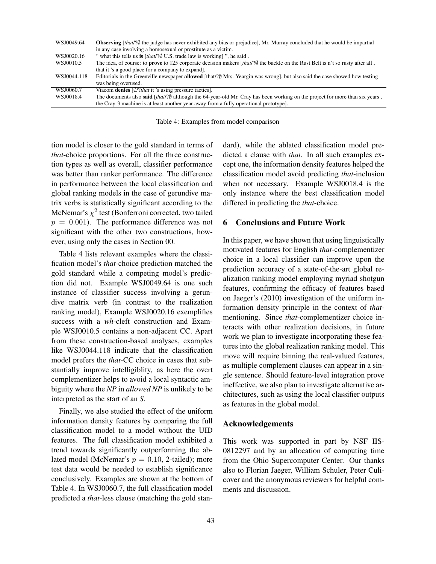| WSJ0049.64  | <b>Observing</b> [that/?) the judge has never exhibited any bias or prejudice], Mr. Murray concluded that he would be impartial<br>in any case involving a homosexual or prostitute as a victim. |
|-------------|--------------------------------------------------------------------------------------------------------------------------------------------------------------------------------------------------|
| WSJ0020.16  | " what this tells us is $[that?$ U.S. trade law is working]", he said.                                                                                                                           |
| WSJ0010.5   | The idea, of course: to <b>prove</b> to 125 corporate decision makers [that/? $\emptyset$ the buckle on the Rust Belt is n't so rusty after all,                                                 |
|             | that it's a good place for a company to expand.                                                                                                                                                  |
| WSJ0044.118 | Editorials in the Greenville newspaper <b>allowed</b> [that/? $\emptyset$ Mrs. Yeargin was wrong], but also said the case showed how testing                                                     |
|             | was being overused.                                                                                                                                                                              |
| WSJ0060.7   | Viacom <b>denies</b> $\left[\frac{\emptyset}{2} that$ it 's using pressure tactics].                                                                                                             |
| WSJ0018.4   | The documents also <b>said</b> [that/? $\emptyset$ although the 64-year-old Mr. Cray has been working on the project for more than six years,                                                    |
|             | the Cray-3 machine is at least another year away from a fully operational prototype.                                                                                                             |

Table 4: Examples from model comparison

tion model is closer to the gold standard in terms of *that*-choice proportions. For all the three construction types as well as overall, classifier performance was better than ranker performance. The difference in performance between the local classification and global ranking models in the case of gerundive matrix verbs is statistically significant according to the McNemar's  $\chi^2$  test (Bonferroni corrected, two tailed  $p = 0.001$ . The performance difference was not significant with the other two constructions, however, using only the cases in Section 00.

Table 4 lists relevant examples where the classification model's *that*-choice prediction matched the gold standard while a competing model's prediction did not. Example WSJ0049.64 is one such instance of classifier success involving a gerundive matrix verb (in contrast to the realization ranking model), Example WSJ0020.16 exemplifies success with a *wh*-cleft construction and Example WSJ0010.5 contains a non-adjacent CC. Apart from these construction-based analyses, examples like WSJ0044.118 indicate that the classification model prefers the *that*-CC choice in cases that substantially improve intelligiblity, as here the overt complementizer helps to avoid a local syntactic ambiguity where the *NP* in *allowed NP* is unlikely to be interpreted as the start of an *S*.

Finally, we also studied the effect of the uniform information density features by comparing the full classification model to a model without the UID features. The full classification model exhibited a trend towards significantly outperforming the ablated model (McNemar's  $p = 0.10$ , 2-tailed); more test data would be needed to establish significance conclusively. Examples are shown at the bottom of Table 4. In WSJ0060.7, the full classification model predicted a *that*-less clause (matching the gold standard), while the ablated classification model predicted a clause with *that*. In all such examples except one, the information density features helped the classification model avoid predicting *that*-inclusion when not necessary. Example WSJ0018.4 is the only instance where the best classification model differed in predicting the *that*-choice.

## 6 Conclusions and Future Work

In this paper, we have shown that using linguistically motivated features for English *that*-complementizer choice in a local classifier can improve upon the prediction accuracy of a state-of-the-art global realization ranking model employing myriad shotgun features, confirming the efficacy of features based on Jaeger's (2010) investigation of the uniform information density principle in the context of *that*mentioning. Since *that*-complementizer choice interacts with other realization decisions, in future work we plan to investigate incorporating these features into the global realization ranking model. This move will require binning the real-valued features, as multiple complement clauses can appear in a single sentence. Should feature-level integration prove ineffective, we also plan to investigate alternative architectures, such as using the local classifier outputs as features in the global model.

# Acknowledgements

This work was supported in part by NSF IIS-0812297 and by an allocation of computing time from the Ohio Supercomputer Center. Our thanks also to Florian Jaeger, William Schuler, Peter Culicover and the anonymous reviewers for helpful comments and discussion.